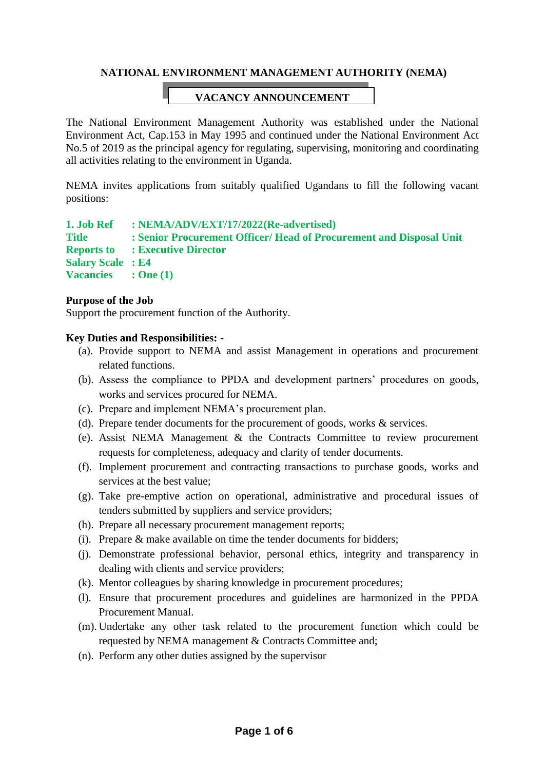## **NATIONAL ENVIRONMENT MANAGEMENT AUTHORITY (NEMA)**

## **VACANCY ANNOUNCEMENT**

The National Environment Management Authority was established under the National Environment Act, Cap.153 in May 1995 and continued under the National Environment Act No.5 of 2019 as the principal agency for regulating, supervising, monitoring and coordinating all activities relating to the environment in Uganda.

NEMA invites applications from suitably qualified Ugandans to fill the following vacant positions:

#### **1. Job Ref : NEMA/ADV/EXT/17/2022(Re-advertised)**

**Title : Senior Procurement Officer/ Head of Procurement and Disposal Unit Reports to : Executive Director Salary Scale : E4 Vacancies : One (1)**

### **Purpose of the Job**

Support the procurement function of the Authority.

### **Key Duties and Responsibilities: -**

- (a). Provide support to NEMA and assist Management in operations and procurement related functions.
- (b). Assess the compliance to PPDA and development partners' procedures on goods, works and services procured for NEMA.
- (c). Prepare and implement NEMA's procurement plan.
- (d). Prepare tender documents for the procurement of goods, works & services.
- (e). Assist NEMA Management & the Contracts Committee to review procurement requests for completeness, adequacy and clarity of tender documents.
- (f). Implement procurement and contracting transactions to purchase goods, works and services at the best value;
- (g). Take pre-emptive action on operational, administrative and procedural issues of tenders submitted by suppliers and service providers;
- (h). Prepare all necessary procurement management reports;
- (i). Prepare & make available on time the tender documents for bidders;
- (j). Demonstrate professional behavior, personal ethics, integrity and transparency in dealing with clients and service providers;
- (k). Mentor colleagues by sharing knowledge in procurement procedures;
- (l). Ensure that procurement procedures and guidelines are harmonized in the PPDA Procurement Manual.
- (m). Undertake any other task related to the procurement function which could be requested by NEMA management & Contracts Committee and;
- (n). Perform any other duties assigned by the supervisor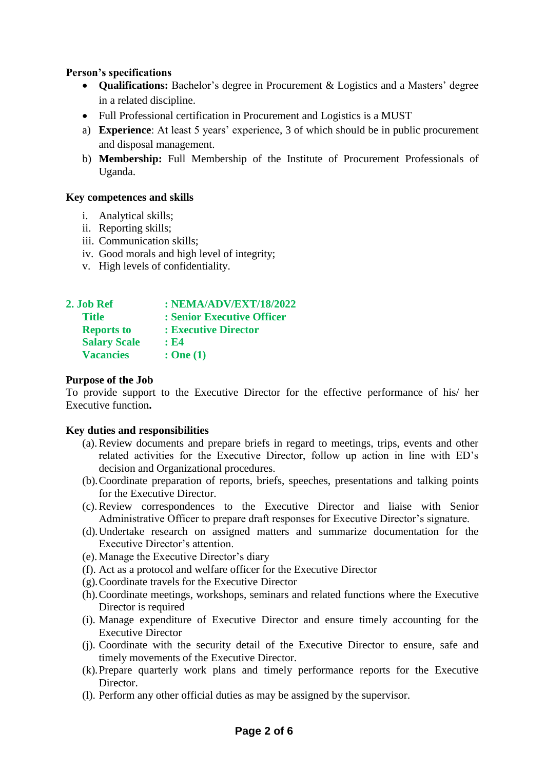## **Person's specifications**

- **Qualifications:** Bachelor's degree in Procurement & Logistics and a Masters' degree in a related discipline.
- Full Professional certification in Procurement and Logistics is a MUST
- a) **Experience**: At least 5 years' experience, 3 of which should be in public procurement and disposal management.
- b) **Membership:** Full Membership of the Institute of Procurement Professionals of Uganda.

## **Key competences and skills**

- i. Analytical skills;
- ii. Reporting skills;
- iii. Communication skills;
- iv. Good morals and high level of integrity;
- v. High levels of confidentiality.

| 2. Job Ref          | : NEMA/ADV/EXT/18/2022     |
|---------------------|----------------------------|
| <b>Title</b>        | : Senior Executive Officer |
| <b>Reports to</b>   | : Executive Director       |
| <b>Salary Scale</b> | : E4                       |
| <b>Vacancies</b>    | : One(1)                   |

### **Purpose of the Job**

To provide support to the Executive Director for the effective performance of his/ her Executive function**.**

### **Key duties and responsibilities**

- (a).Review documents and prepare briefs in regard to meetings, trips, events and other related activities for the Executive Director, follow up action in line with ED's decision and Organizational procedures.
- (b).Coordinate preparation of reports, briefs, speeches, presentations and talking points for the Executive Director.
- (c).Review correspondences to the Executive Director and liaise with Senior Administrative Officer to prepare draft responses for Executive Director's signature.
- (d).Undertake research on assigned matters and summarize documentation for the Executive Director's attention.
- (e).Manage the Executive Director's diary
- (f). Act as a protocol and welfare officer for the Executive Director
- (g).Coordinate travels for the Executive Director
- (h).Coordinate meetings, workshops, seminars and related functions where the Executive Director is required
- (i). Manage expenditure of Executive Director and ensure timely accounting for the Executive Director
- (j). Coordinate with the security detail of the Executive Director to ensure, safe and timely movements of the Executive Director.
- (k).Prepare quarterly work plans and timely performance reports for the Executive Director.
- (l). Perform any other official duties as may be assigned by the supervisor.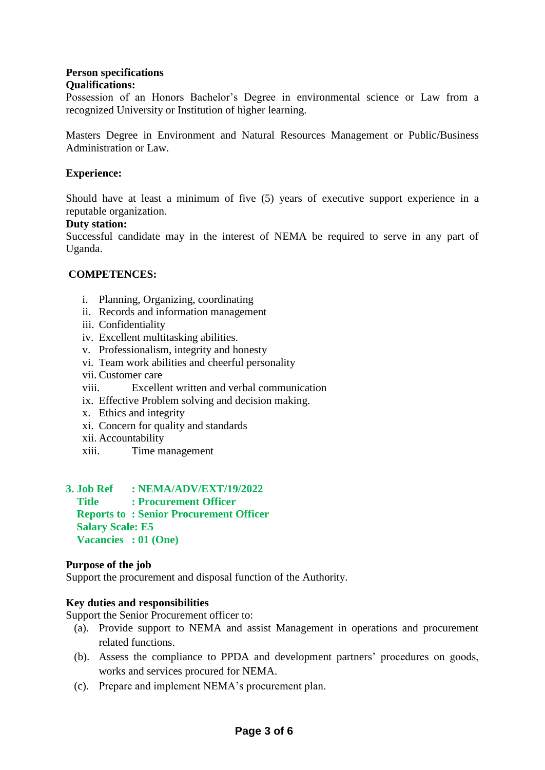#### **Person specifications Qualifications:**

Possession of an Honors Bachelor's Degree in environmental science or Law from a recognized University or Institution of higher learning.

Masters Degree in Environment and Natural Resources Management or Public/Business Administration or Law.

## **Experience:**

Should have at least a minimum of five (5) years of executive support experience in a reputable organization.

### **Duty station:**

Successful candidate may in the interest of NEMA be required to serve in any part of Uganda.

## **COMPETENCES:**

- i. Planning, Organizing, coordinating
- ii. Records and information management
- iii. Confidentiality
- iv. Excellent multitasking abilities.
- v. Professionalism, integrity and honesty
- vi. Team work abilities and cheerful personality
- vii. Customer care
- viii. Excellent written and verbal communication
- ix. Effective Problem solving and decision making.
- x. Ethics and integrity
- xi. Concern for quality and standards
- xii. Accountability
- xiii. Time management

### **3. Job Ref : NEMA/ADV/EXT/19/2022 Title : Procurement Officer Reports to : Senior Procurement Officer Salary Scale: E5 Vacancies : 01 (One)**

### **Purpose of the job**

Support the procurement and disposal function of the Authority.

### **Key duties and responsibilities**

Support the Senior Procurement officer to:

- (a). Provide support to NEMA and assist Management in operations and procurement related functions.
- (b). Assess the compliance to PPDA and development partners' procedures on goods, works and services procured for NEMA.
- (c). Prepare and implement NEMA's procurement plan.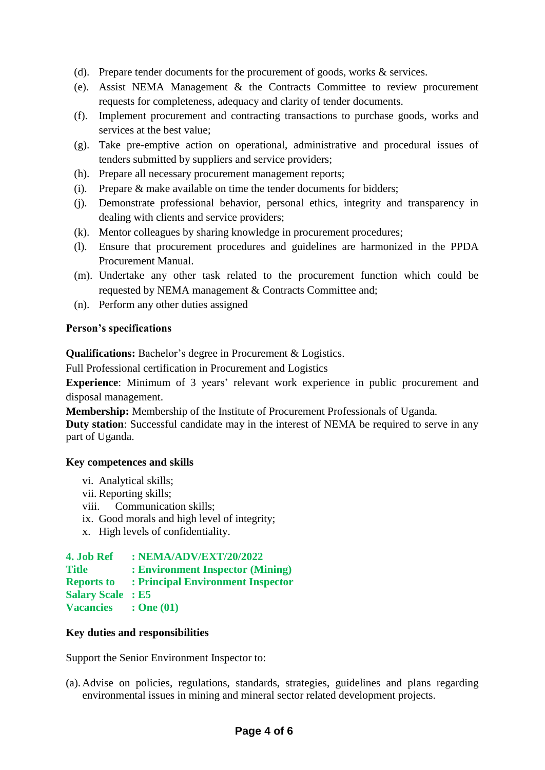- (d). Prepare tender documents for the procurement of goods, works & services.
- (e). Assist NEMA Management & the Contracts Committee to review procurement requests for completeness, adequacy and clarity of tender documents.
- (f). Implement procurement and contracting transactions to purchase goods, works and services at the best value;
- (g). Take pre-emptive action on operational, administrative and procedural issues of tenders submitted by suppliers and service providers;
- (h). Prepare all necessary procurement management reports;
- (i). Prepare & make available on time the tender documents for bidders;
- (j). Demonstrate professional behavior, personal ethics, integrity and transparency in dealing with clients and service providers;
- (k). Mentor colleagues by sharing knowledge in procurement procedures;
- (l). Ensure that procurement procedures and guidelines are harmonized in the PPDA Procurement Manual.
- (m). Undertake any other task related to the procurement function which could be requested by NEMA management & Contracts Committee and;
- (n). Perform any other duties assigned

## **Person's specifications**

**Qualifications:** Bachelor's degree in Procurement & Logistics.

Full Professional certification in Procurement and Logistics

**Experience**: Minimum of 3 years' relevant work experience in public procurement and disposal management.

**Membership:** Membership of the Institute of Procurement Professionals of Uganda.

**Duty station**: Successful candidate may in the interest of NEMA be required to serve in any part of Uganda.

## **Key competences and skills**

- vi. Analytical skills;
- vii. Reporting skills;
- viii. Communication skills;
- ix. Good morals and high level of integrity;
- x. High levels of confidentiality.

## **4. Job Ref : NEMA/ADV/EXT/20/2022**

- **Title : Environment Inspector (Mining)**
- **Reports to : Principal Environment Inspector**
- **Salary Scale : E5**
- **Vacancies : One (01)**

# **Key duties and responsibilities**

Support the Senior Environment Inspector to:

(a). Advise on policies, regulations, standards, strategies, guidelines and plans regarding environmental issues in mining and mineral sector related development projects.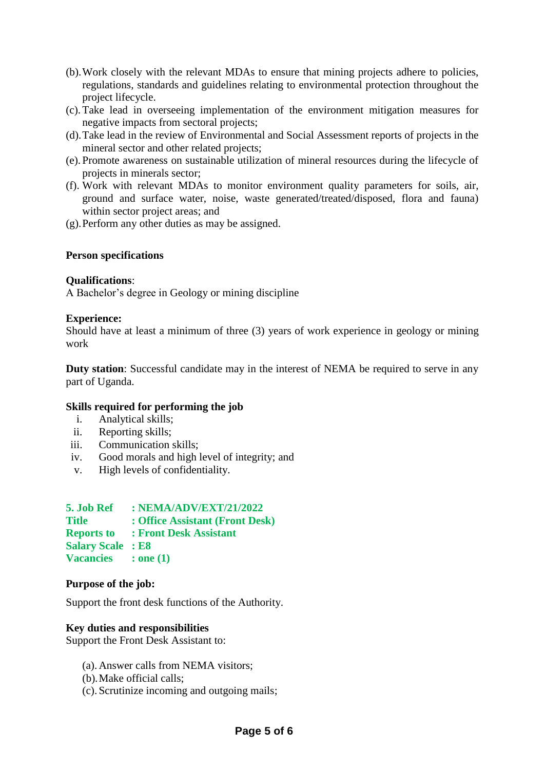- (b).Work closely with the relevant MDAs to ensure that mining projects adhere to policies, regulations, standards and guidelines relating to environmental protection throughout the project lifecycle.
- (c).Take lead in overseeing implementation of the environment mitigation measures for negative impacts from sectoral projects;
- (d).Take lead in the review of Environmental and Social Assessment reports of projects in the mineral sector and other related projects;
- (e). Promote awareness on sustainable utilization of mineral resources during the lifecycle of projects in minerals sector;
- (f). Work with relevant MDAs to monitor environment quality parameters for soils, air, ground and surface water, noise, waste generated/treated/disposed, flora and fauna) within sector project areas; and
- (g).Perform any other duties as may be assigned.

### **Person specifications**

#### **Qualifications**:

A Bachelor's degree in Geology or mining discipline

#### **Experience:**

Should have at least a minimum of three (3) years of work experience in geology or mining work

**Duty station**: Successful candidate may in the interest of NEMA be required to serve in any part of Uganda.

## **Skills required for performing the job**

- i. Analytical skills;
- ii. Reporting skills;
- iii. Communication skills;
- iv. Good morals and high level of integrity; and
- v. High levels of confidentiality.

| 5. Job Ref               | : NEMA/ADV/EXT/21/2022          |
|--------------------------|---------------------------------|
| <b>Title</b>             | : Office Assistant (Front Desk) |
| <b>Reports to</b>        | : Front Desk Assistant          |
| <b>Salary Scale : E8</b> |                                 |
| <b>Vacancies</b>         | $:$ one $(1)$                   |

#### **Purpose of the job:**

Support the front desk functions of the Authority.

### **Key duties and responsibilities**

Support the Front Desk Assistant to:

- (a). Answer calls from NEMA visitors;
- (b).Make official calls;
- (c). Scrutinize incoming and outgoing mails;